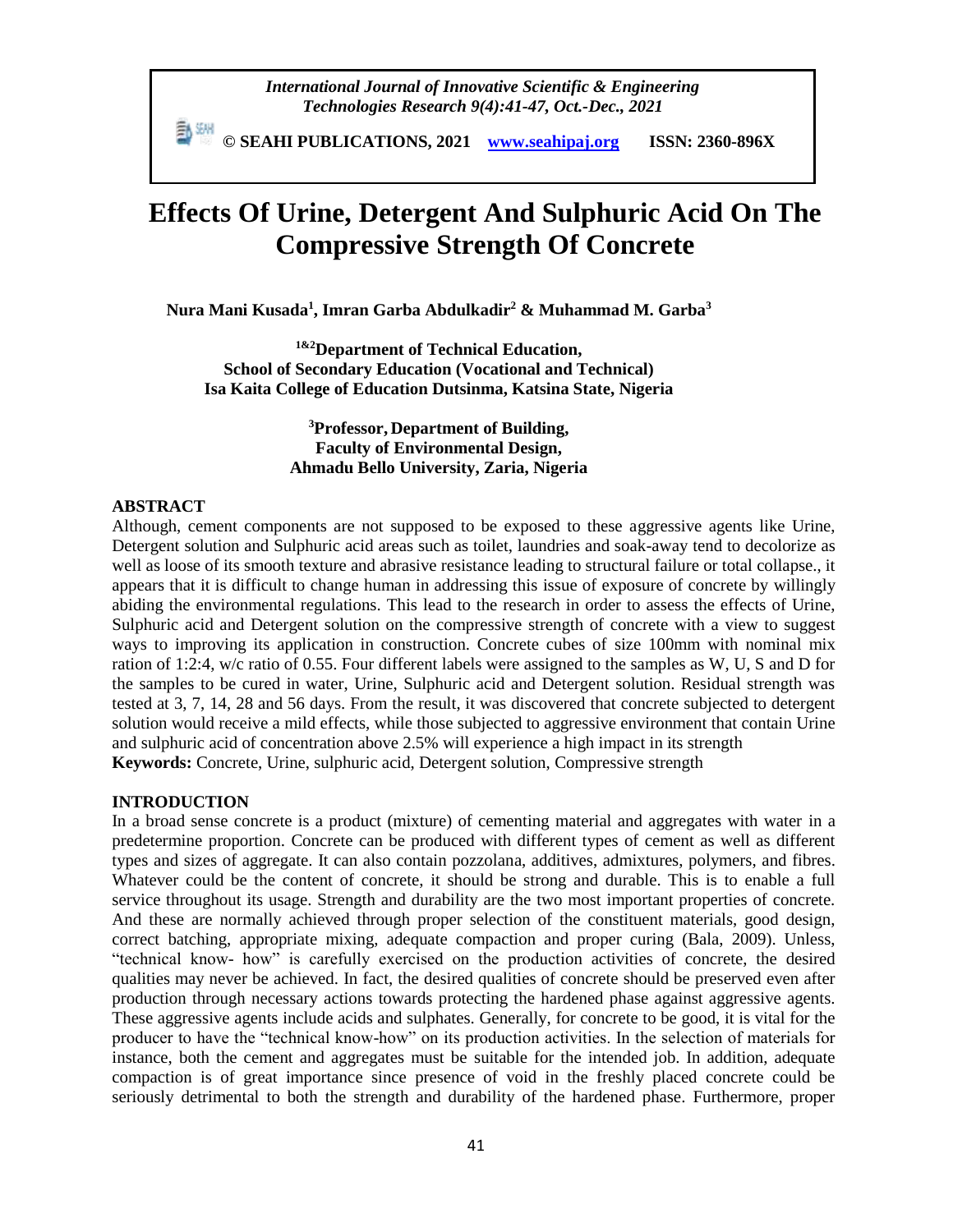*International Journal of Innovative Scientific & Engineering Technologies Research 9(4):41-47, Oct.-Dec., 2021*

 **© SEAHI PUBLICATIONS, 2021 [www.seahipaj.org](http://www.seahipaj.org/) ISSN: 2360-896X**

# **Effects Of Urine, Detergent And Sulphuric Acid On The Compressive Strength Of Concrete**

**Nura Mani Kusada<sup>1</sup> , Imran Garba Abdulkadir<sup>2</sup> & Muhammad M. Garba<sup>3</sup>**

**1&2Department of Technical Education, School of Secondary Education (Vocational and Technical) Isa Kaita College of Education Dutsinma, Katsina State, Nigeria**

> **<sup>3</sup>Professor, Department of Building, Faculty of Environmental Design, Ahmadu Bello University, Zaria, Nigeria**

## **ABSTRACT**

Although, cement components are not supposed to be exposed to these aggressive agents like Urine, Detergent solution and Sulphuric acid areas such as toilet, laundries and soak-away tend to decolorize as well as loose of its smooth texture and abrasive resistance leading to structural failure or total collapse., it appears that it is difficult to change human in addressing this issue of exposure of concrete by willingly abiding the environmental regulations. This lead to the research in order to assess the effects of Urine, Sulphuric acid and Detergent solution on the compressive strength of concrete with a view to suggest ways to improving its application in construction. Concrete cubes of size 100mm with nominal mix ration of 1:2:4, w/c ratio of 0.55. Four different labels were assigned to the samples as W, U, S and D for the samples to be cured in water, Urine, Sulphuric acid and Detergent solution. Residual strength was tested at 3, 7, 14, 28 and 56 days. From the result, it was discovered that concrete subjected to detergent solution would receive a mild effects, while those subjected to aggressive environment that contain Urine and sulphuric acid of concentration above 2.5% will experience a high impact in its strength **Keywords:** Concrete, Urine, sulphuric acid, Detergent solution, Compressive strength

#### **INTRODUCTION**

In a broad sense concrete is a product (mixture) of cementing material and aggregates with water in a predetermine proportion. Concrete can be produced with different types of cement as well as different types and sizes of aggregate. It can also contain pozzolana, additives, admixtures, polymers, and fibres. Whatever could be the content of concrete, it should be strong and durable. This is to enable a full service throughout its usage. Strength and durability are the two most important properties of concrete. And these are normally achieved through proper selection of the constituent materials, good design, correct batching, appropriate mixing, adequate compaction and proper curing (Bala, 2009). Unless, "technical know- how" is carefully exercised on the production activities of concrete, the desired qualities may never be achieved. In fact, the desired qualities of concrete should be preserved even after production through necessary actions towards protecting the hardened phase against aggressive agents. These aggressive agents include acids and sulphates. Generally, for concrete to be good, it is vital for the producer to have the "technical know-how" on its production activities. In the selection of materials for instance, both the cement and aggregates must be suitable for the intended job. In addition, adequate compaction is of great importance since presence of void in the freshly placed concrete could be seriously detrimental to both the strength and durability of the hardened phase. Furthermore, proper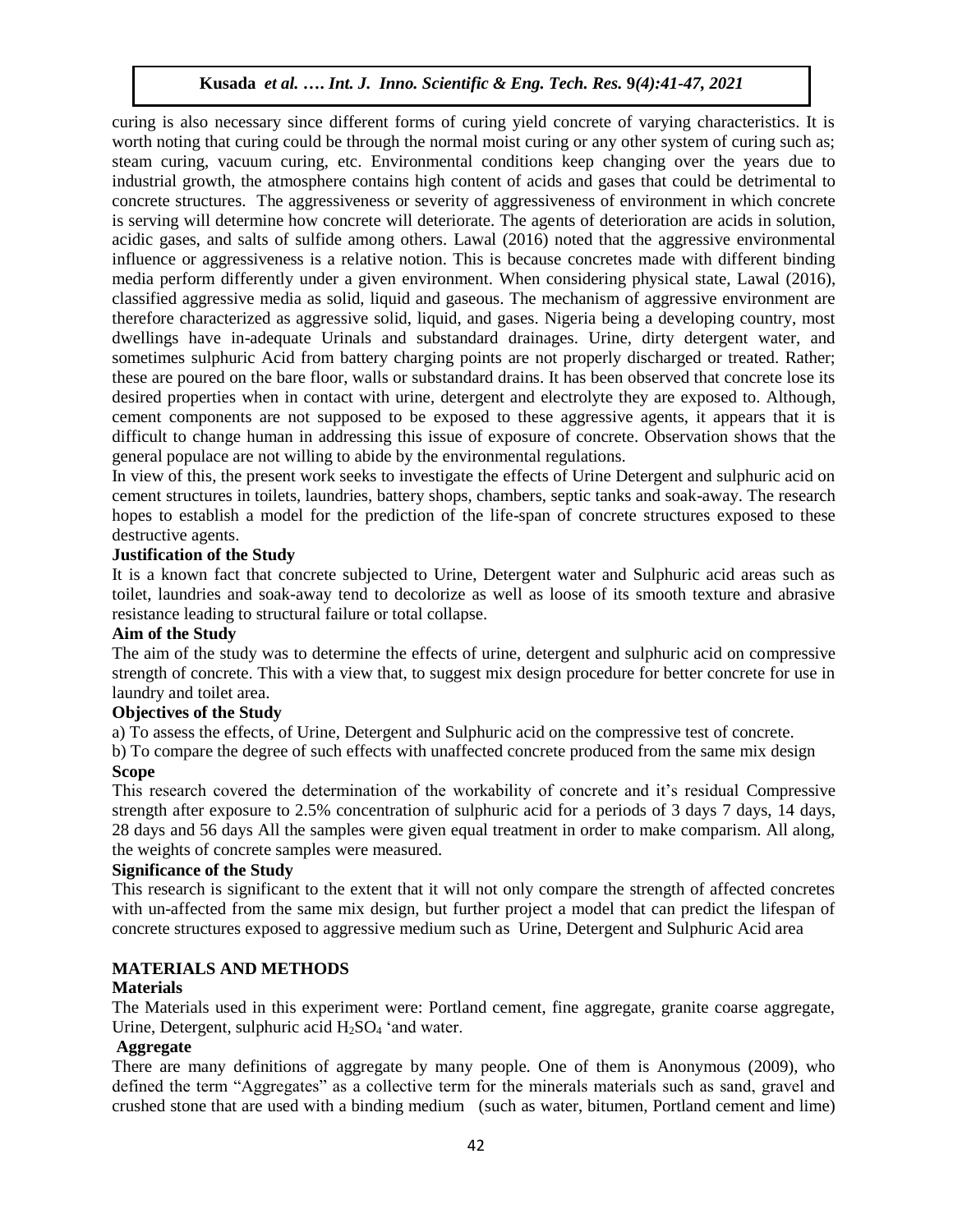## **Kusada** *et al.* **….** *Int. J. Inno. Scientific & Eng. Tech. Res.* **9***(4):41-47, 2021*

curing is also necessary since different forms of curing yield concrete of varying characteristics. It is worth noting that curing could be through the normal moist curing or any other system of curing such as; steam curing, vacuum curing, etc. Environmental conditions keep changing over the years due to industrial growth, the atmosphere contains high content of acids and gases that could be detrimental to concrete structures. The aggressiveness or severity of aggressiveness of environment in which concrete is serving will determine how concrete will deteriorate. The agents of deterioration are acids in solution, acidic gases, and salts of sulfide among others. Lawal (2016) noted that the aggressive environmental influence or aggressiveness is a relative notion. This is because concretes made with different binding media perform differently under a given environment. When considering physical state, Lawal (2016), classified aggressive media as solid, liquid and gaseous. The mechanism of aggressive environment are therefore characterized as aggressive solid, liquid, and gases. Nigeria being a developing country, most dwellings have in-adequate Urinals and substandard drainages. Urine, dirty detergent water, and sometimes sulphuric Acid from battery charging points are not properly discharged or treated. Rather; these are poured on the bare floor, walls or substandard drains. It has been observed that concrete lose its desired properties when in contact with urine, detergent and electrolyte they are exposed to. Although, cement components are not supposed to be exposed to these aggressive agents, it appears that it is difficult to change human in addressing this issue of exposure of concrete. Observation shows that the general populace are not willing to abide by the environmental regulations.

In view of this, the present work seeks to investigate the effects of Urine Detergent and sulphuric acid on cement structures in toilets, laundries, battery shops, chambers, septic tanks and soak-away. The research hopes to establish a model for the prediction of the life-span of concrete structures exposed to these destructive agents.

## **Justification of the Study**

It is a known fact that concrete subjected to Urine, Detergent water and Sulphuric acid areas such as toilet, laundries and soak-away tend to decolorize as well as loose of its smooth texture and abrasive resistance leading to structural failure or total collapse.

## **Aim of the Study**

The aim of the study was to determine the effects of urine, detergent and sulphuric acid on compressive strength of concrete. This with a view that, to suggest mix design procedure for better concrete for use in laundry and toilet area.

#### **Objectives of the Study**

a) To assess the effects, of Urine, Detergent and Sulphuric acid on the compressive test of concrete.

b) To compare the degree of such effects with unaffected concrete produced from the same mix design **Scope** 

This research covered the determination of the workability of concrete and it's residual Compressive strength after exposure to 2.5% concentration of sulphuric acid for a periods of 3 days 7 days, 14 days, 28 days and 56 days All the samples were given equal treatment in order to make comparism. All along, the weights of concrete samples were measured.

## **Significance of the Study**

This research is significant to the extent that it will not only compare the strength of affected concretes with un-affected from the same mix design, but further project a model that can predict the lifespan of concrete structures exposed to aggressive medium such as Urine, Detergent and Sulphuric Acid area

## **MATERIALS AND METHODS**

#### **Materials**

The Materials used in this experiment were: Portland cement, fine aggregate, granite coarse aggregate, Urine, Detergent, sulphuric acid  $H<sub>2</sub>SO<sub>4</sub>$  'and water.

## **Aggregate**

There are many definitions of aggregate by many people. One of them is Anonymous (2009), who defined the term "Aggregates" as a collective term for the minerals materials such as sand, gravel and crushed stone that are used with a binding medium (such as water, bitumen, Portland cement and lime)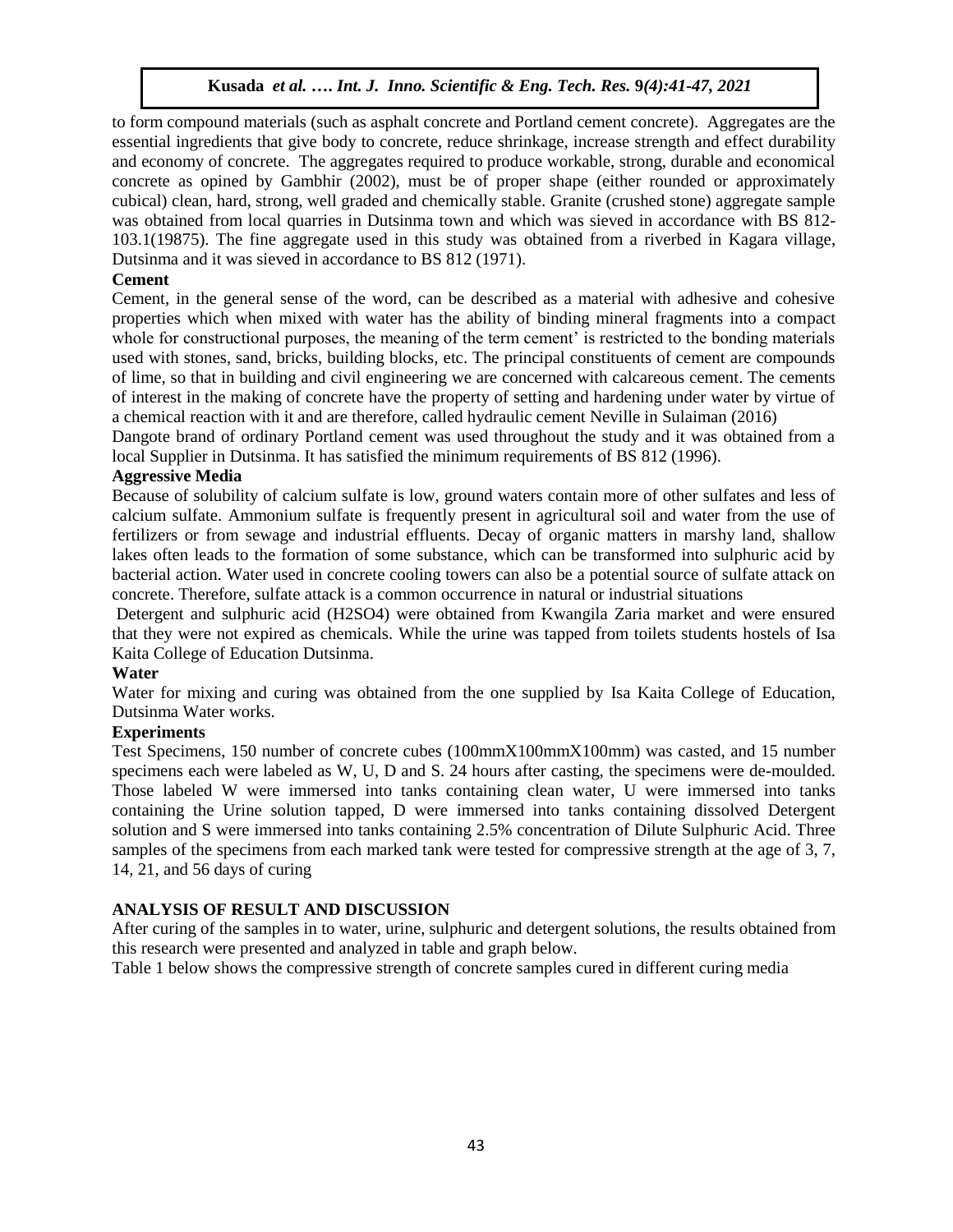# **Kusada** *et al.* **….** *Int. J. Inno. Scientific & Eng. Tech. Res.* **9***(4):41-47, 2021*

to form compound materials (such as asphalt concrete and Portland cement concrete). Aggregates are the essential ingredients that give body to concrete, reduce shrinkage, increase strength and effect durability and economy of concrete. The aggregates required to produce workable, strong, durable and economical concrete as opined by Gambhir (2002), must be of proper shape (either rounded or approximately cubical) clean, hard, strong, well graded and chemically stable. Granite (crushed stone) aggregate sample was obtained from local quarries in Dutsinma town and which was sieved in accordance with BS 812- 103.1(19875). The fine aggregate used in this study was obtained from a riverbed in Kagara village, Dutsinma and it was sieved in accordance to BS 812 (1971).

## **Cement**

Cement, in the general sense of the word, can be described as a material with adhesive and cohesive properties which when mixed with water has the ability of binding mineral fragments into a compact whole for constructional purposes, the meaning of the term cement' is restricted to the bonding materials used with stones, sand, bricks, building blocks, etc. The principal constituents of cement are compounds of lime, so that in building and civil engineering we are concerned with calcareous cement. The cements of interest in the making of concrete have the property of setting and hardening under water by virtue of a chemical reaction with it and are therefore, called hydraulic cement Neville in Sulaiman (2016)

Dangote brand of ordinary Portland cement was used throughout the study and it was obtained from a local Supplier in Dutsinma. It has satisfied the minimum requirements of BS 812 (1996).

## **Aggressive Media**

Because of solubility of calcium sulfate is low, ground waters contain more of other sulfates and less of calcium sulfate. Ammonium sulfate is frequently present in agricultural soil and water from the use of fertilizers or from sewage and industrial effluents. Decay of organic matters in marshy land, shallow lakes often leads to the formation of some substance, which can be transformed into sulphuric acid by bacterial action. Water used in concrete cooling towers can also be a potential source of sulfate attack on concrete. Therefore, sulfate attack is a common occurrence in natural or industrial situations

Detergent and sulphuric acid (H2SO4) were obtained from Kwangila Zaria market and were ensured that they were not expired as chemicals. While the urine was tapped from toilets students hostels of Isa Kaita College of Education Dutsinma.

## **Water**

Water for mixing and curing was obtained from the one supplied by Isa Kaita College of Education, Dutsinma Water works.

# **Experiments**

Test Specimens, 150 number of concrete cubes (100mmX100mmX100mm) was casted, and 15 number specimens each were labeled as W, U, D and S. 24 hours after casting, the specimens were de-moulded. Those labeled W were immersed into tanks containing clean water, U were immersed into tanks containing the Urine solution tapped, D were immersed into tanks containing dissolved Detergent solution and S were immersed into tanks containing 2.5% concentration of Dilute Sulphuric Acid. Three samples of the specimens from each marked tank were tested for compressive strength at the age of 3, 7, 14, 21, and 56 days of curing

# **ANALYSIS OF RESULT AND DISCUSSION**

After curing of the samples in to water, urine, sulphuric and detergent solutions, the results obtained from this research were presented and analyzed in table and graph below.

Table 1 below shows the compressive strength of concrete samples cured in different curing media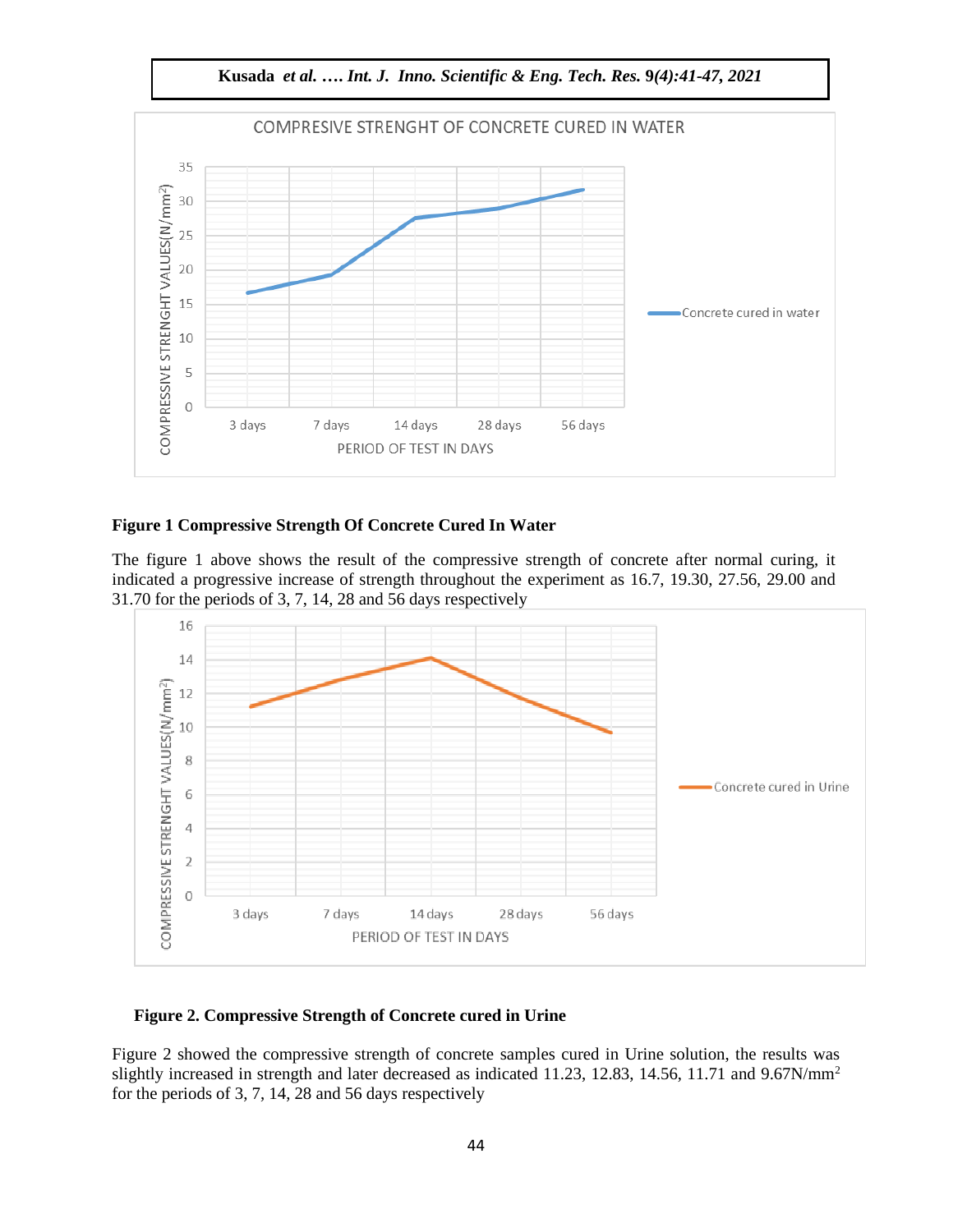

#### **Figure 1 Compressive Strength Of Concrete Cured In Water**

The figure 1 above shows the result of the compressive strength of concrete after normal curing, it indicated a progressive increase of strength throughout the experiment as 16.7, 19.30, 27.56, 29.00 and 31.70 for the periods of 3, 7, 14, 28 and 56 days respectively



#### **Figure 2. Compressive Strength of Concrete cured in Urine**

Figure 2 showed the compressive strength of concrete samples cured in Urine solution, the results was slightly increased in strength and later decreased as indicated 11.23, 12.83, 14.56, 11.71 and 9.67N/mm<sup>2</sup> for the periods of 3, 7, 14, 28 and 56 days respectively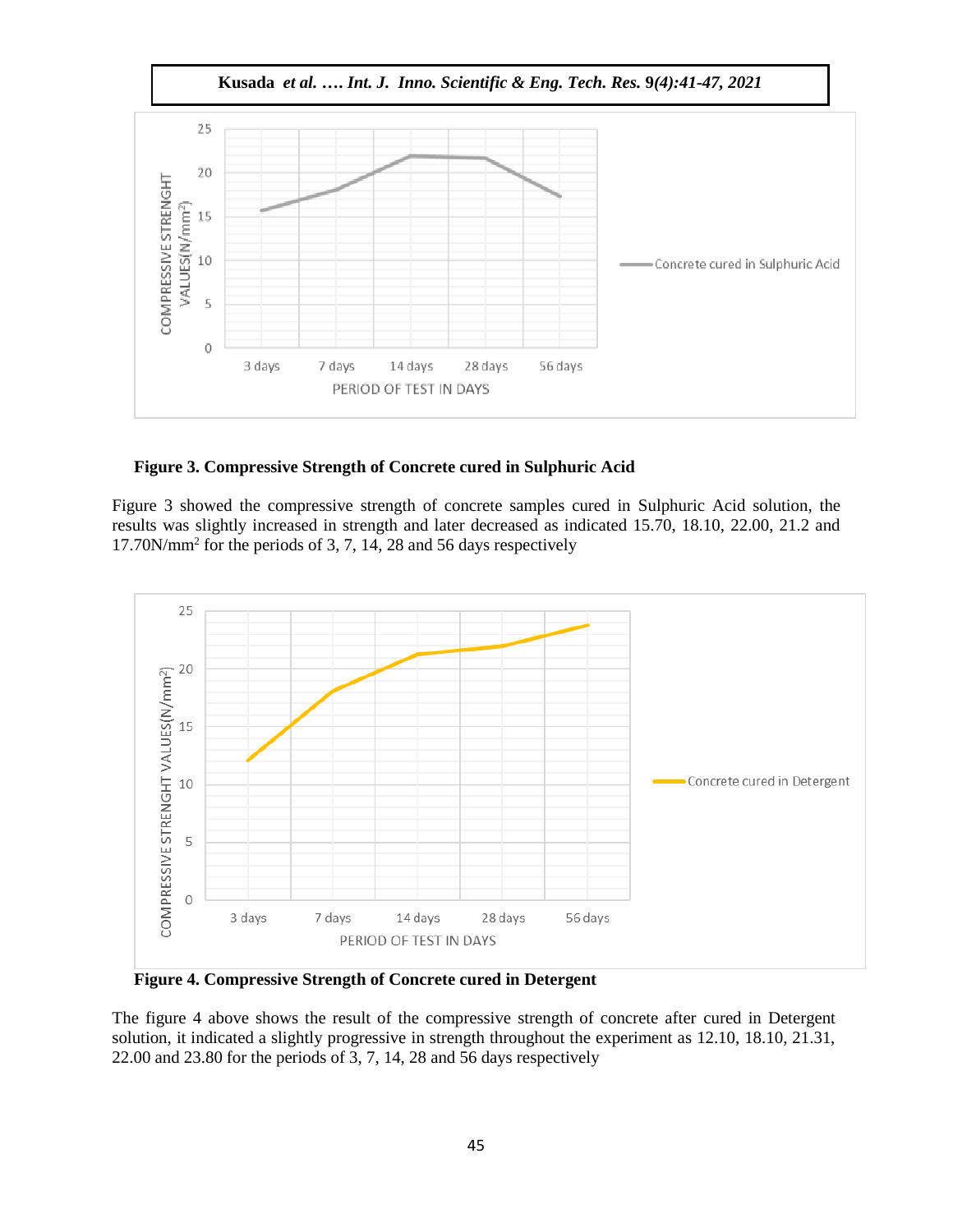

**Figure 3. Compressive Strength of Concrete cured in Sulphuric Acid**

Figure 3 showed the compressive strength of concrete samples cured in Sulphuric Acid solution, the results was slightly increased in strength and later decreased as indicated 15.70, 18.10, 22.00, 21.2 and 17.70N/mm<sup>2</sup> for the periods of 3, 7, 14, 28 and 56 days respectively



**Figure 4. Compressive Strength of Concrete cured in Detergent** 

The figure 4 above shows the result of the compressive strength of concrete after cured in Detergent solution, it indicated a slightly progressive in strength throughout the experiment as 12.10, 18.10, 21.31, 22.00 and 23.80 for the periods of 3, 7, 14, 28 and 56 days respectively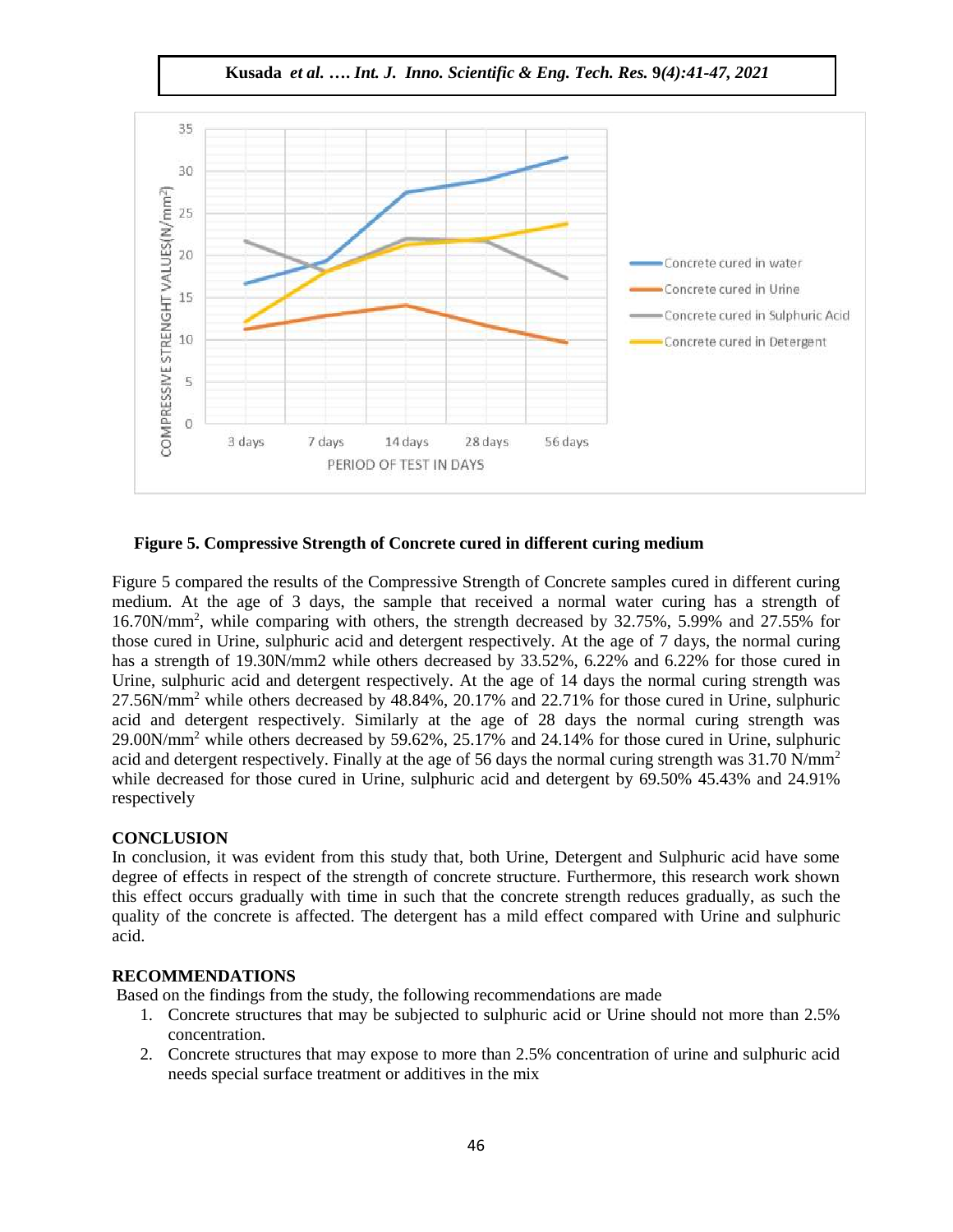**Kusada** *et al.* **….** *Int. J. Inno. Scientific & Eng. Tech. Res.* **9***(4):41-47, 2021*



**Figure 5. Compressive Strength of Concrete cured in different curing medium**

Figure 5 compared the results of the Compressive Strength of Concrete samples cured in different curing medium. At the age of 3 days, the sample that received a normal water curing has a strength of 16.70N/mm<sup>2</sup> , while comparing with others, the strength decreased by 32.75%, 5.99% and 27.55% for those cured in Urine, sulphuric acid and detergent respectively. At the age of 7 days, the normal curing has a strength of 19.30N/mm2 while others decreased by 33.52%, 6.22% and 6.22% for those cured in Urine, sulphuric acid and detergent respectively. At the age of 14 days the normal curing strength was 27.56N/mm<sup>2</sup> while others decreased by 48.84%, 20.17% and 22.71% for those cured in Urine, sulphuric acid and detergent respectively. Similarly at the age of 28 days the normal curing strength was 29.00N/mm<sup>2</sup> while others decreased by 59.62%, 25.17% and 24.14% for those cured in Urine, sulphuric acid and detergent respectively. Finally at the age of 56 days the normal curing strength was 31.70 N/mm<sup>2</sup> while decreased for those cured in Urine, sulphuric acid and detergent by 69.50% 45.43% and 24.91% respectively

## **CONCLUSION**

In conclusion, it was evident from this study that, both Urine, Detergent and Sulphuric acid have some degree of effects in respect of the strength of concrete structure. Furthermore, this research work shown this effect occurs gradually with time in such that the concrete strength reduces gradually, as such the quality of the concrete is affected. The detergent has a mild effect compared with Urine and sulphuric acid.

## **RECOMMENDATIONS**

Based on the findings from the study, the following recommendations are made

- 1. Concrete structures that may be subjected to sulphuric acid or Urine should not more than 2.5% concentration.
- 2. Concrete structures that may expose to more than 2.5% concentration of urine and sulphuric acid needs special surface treatment or additives in the mix